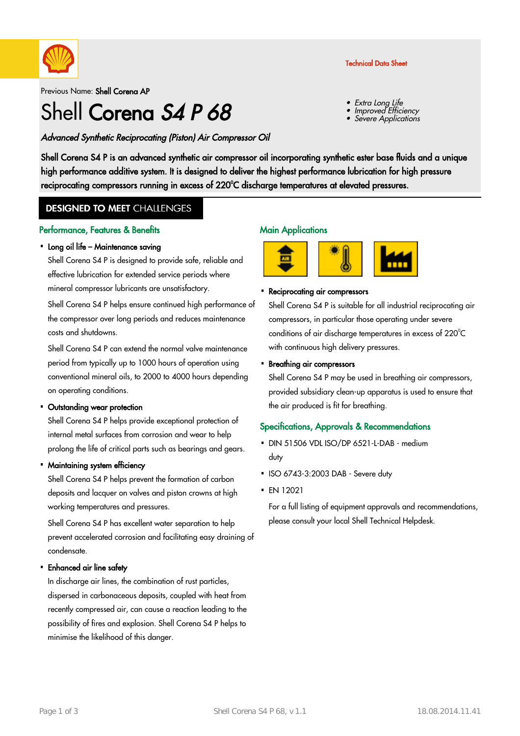

Previous Name: Shell Corena AP

# Shell Corena S4 P 68

## Advanced Synthetic Reciprocating (Piston) Air Compressor Oil

Shell Corena S4 P is an advanced synthetic air compressor oil incorporating synthetic ester base fluids and a unique high performance additive system. It is designed to deliver the highest performance lubrication for high pressure reciprocating compressors running in excess of 220°C discharge temperatures at elevated pressures.

# **DESIGNED TO MEET CHALLENGES**

#### Performance, Features & Benefits

#### • Long oil life – Maintenance saving

Shell Corena S4 P is designed to provide safe, reliable and effective lubrication for extended service periods where mineral compressor lubricants are unsatisfactory.

Shell Corena S4 P helps ensure continued high performance of the compressor over long periods and reduces maintenance costs and shutdowns.

Shell Corena S4 P can extend the normal valve maintenance period from typically up to 1000 hours of operation using conventional mineral oils, to 2000 to 4000 hours depending on operating conditions.

#### • Outstanding wear protection

Shell Corena S4 P helps provide exceptional protection of internal metal surfaces from corrosion and wear to help prolong the life of critical parts such as bearings and gears.

#### • Maintaining system efficiency

Shell Corena S4 P helps prevent the formation of carbon deposits and lacquer on valves and piston crowns at high working temperatures and pressures.

Shell Corena S4 P has excellent water separation to help prevent accelerated corrosion and facilitating easy draining of condensate.

# Enhanced air line safety ·

In discharge air lines, the combination of rust particles, dispersed in carbonaceous deposits, coupled with heat from recently compressed air, can cause a reaction leading to the possibility of fires and explosion. Shell Corena S4 P helps to minimise the likelihood of this danger.

#### **Main Applications**



# • Reciprocating air compressors

Shell Corena S4 P is suitable for all industrial reciprocating air compressors, in particular those operating under severe conditions of air discharge temperatures in excess of 220°C with continuous high delivery pressures.

# • Breathing air compressors

Shell Corena S4 P may be used in breathing air compressors, provided subsidiary clean-up apparatus is used to ensure that the air produced is fit for breathing.

### Specifications, Approvals & Recommendations

- DIN 51506 VDL ISO/DP 6521-L-DAB medium duty
- ISO 6743-3:2003 DAB Severe duty
- EN 12021 ·

For a full listing of equipment approvals and recommendations, please consult your local Shell Technical Helpdesk.

#### Technical Data Sheet

Extra Long Life

Improved Efficiency

Severe Applications

•

•

•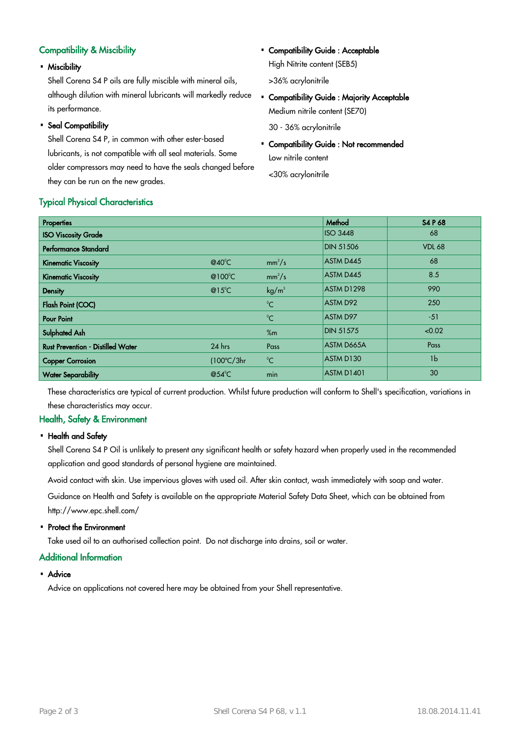# Compatibility & Miscibility

Miscibility ·

Shell Corena S4 P oils are fully miscible with mineral oils, although dilution with mineral lubricants will markedly reduce its performance.

• Seal Compatibility

Shell Corena S4 P, in common with other ester-based lubricants, is not compatible with all seal materials. Some older compressors may need to have the seals changed before they can be run on the new grades.

Typical Physical Characteristics

• Compatibility Guide : Acceptable High Nitrite content (SEB5)

>36% acrylonitrile

• Compatibility Guide : Majority Acceptable Medium nitrile content (SE70)

30 - 36% acrylonitrile

• Compatibility Guide : Not recommended Low nitrile content

<30% acrylonitrile

| <b>Properties</b>                        |                          |                   | Method            | S4 P 68        |
|------------------------------------------|--------------------------|-------------------|-------------------|----------------|
| <b>ISO Viscosity Grade</b>               |                          |                   | <b>ISO 3448</b>   | 68             |
| <b>Performance Standard</b>              |                          |                   | <b>DIN 51506</b>  | <b>VDL 68</b>  |
| <b>Kinematic Viscosity</b>               | @40 $^{\circ}$ C         | $mm^2/s$          | <b>ASTM D445</b>  | 68             |
| <b>Kinematic Viscosity</b>               | @100 $\degree$ C         | $mm^2/s$          | <b>ASTM D445</b>  | 8.5            |
| Density                                  | $@15^{\circ}$ C          | kg/m <sup>3</sup> | ASTM D1298        | 990            |
| <b>Flash Point (COC)</b>                 |                          | $^{\circ}C$       | <b>ASTM D92</b>   | 250            |
| <b>Pour Point</b>                        |                          | $^{\circ}C$       | <b>ASTM D97</b>   | $-51$          |
| <b>Sulphated Ash</b>                     |                          | %m                | <b>DIN 51575</b>  | < 0.02         |
| <b>Rust Prevention - Distilled Water</b> | $24$ hrs                 | Pass              | <b>ASTM D665A</b> | Pass           |
| <b>Copper Corrosion</b>                  | $(100^{\circ}C/3hr)$     | $^{\circ}$ C      | ASTM D130         | 1 <sub>b</sub> |
| <b>Water Separability</b>                | @54 $\mathrm{^{\circ}C}$ | min               | ASTM D1401        | 30             |

These characteristics are typical of current production. Whilst future production will conform to Shell's specification, variations in these characteristics may occur.

# Health, Safety & Environment

• Health and Safety

Shell Corena S4 P Oil is unlikely to present any significant health or safety hazard when properly used in the recommended application and good standards of personal hygiene are maintained.

Avoid contact with skin. Use impervious gloves with used oil. After skin contact, wash immediately with soap and water.

Guidance on Health and Safety is available on the appropriate Material Safety Data Sheet, which can be obtained from http://www.epc.shell.com/

• Protect the Environment

Take used oil to an authorised collection point. Do not discharge into drains, soil or water.

### Additional Information

• Advice

Advice on applications not covered here may be obtained from your Shell representative.